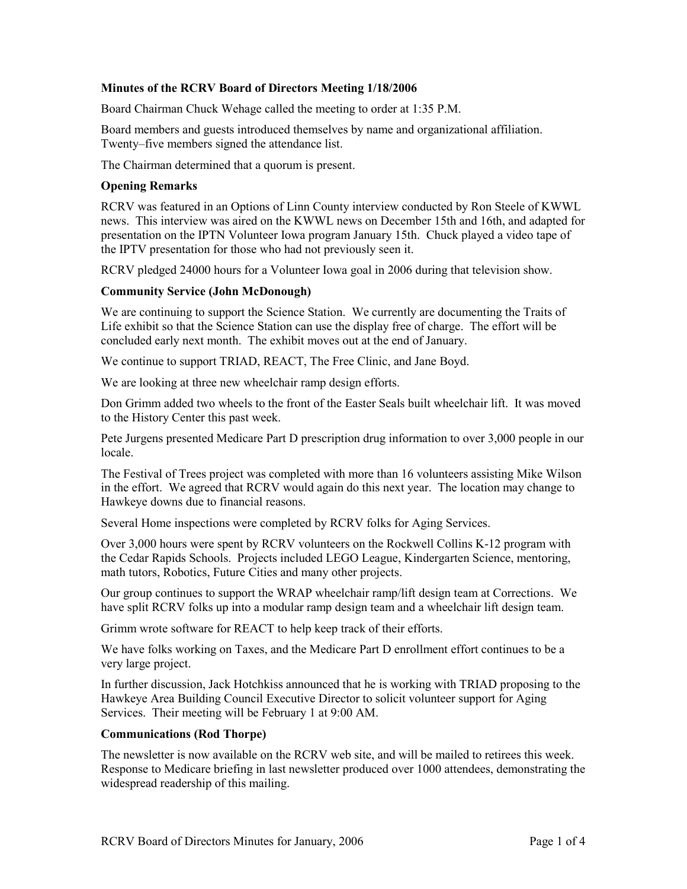## **Minutes of the RCRV Board of Directors Meeting 1/18/2006**

Board Chairman Chuck Wehage called the meeting to order at 1:35 P.M.

Board members and guests introduced themselves by name and organizational affiliation. Twenty–five members signed the attendance list.

The Chairman determined that a quorum is present.

#### **Opening Remarks**

RCRV was featured in an Options of Linn County interview conducted by Ron Steele of KWWL news. This interview was aired on the KWWL news on December 15th and 16th, and adapted for presentation on the IPTN Volunteer Iowa program January 15th. Chuck played a video tape of the IPTV presentation for those who had not previously seen it.

RCRV pledged 24000 hours for a Volunteer Iowa goal in 2006 during that television show.

#### **Community Service (John McDonough)**

We are continuing to support the Science Station. We currently are documenting the Traits of Life exhibit so that the Science Station can use the display free of charge. The effort will be concluded early next month. The exhibit moves out at the end of January.

We continue to support TRIAD, REACT, The Free Clinic, and Jane Boyd.

We are looking at three new wheelchair ramp design efforts.

Don Grimm added two wheels to the front of the Easter Seals built wheelchair lift. It was moved to the History Center this past week.

Pete Jurgens presented Medicare Part D prescription drug information to over 3,000 people in our locale.

The Festival of Trees project was completed with more than 16 volunteers assisting Mike Wilson in the effort. We agreed that RCRV would again do this next year. The location may change to Hawkeye downs due to financial reasons.

Several Home inspections were completed by RCRV folks for Aging Services.

Over 3,000 hours were spent by RCRV volunteers on the Rockwell Collins K-12 program with the Cedar Rapids Schools. Projects included LEGO League, Kindergarten Science, mentoring, math tutors, Robotics, Future Cities and many other projects.

Our group continues to support the WRAP wheelchair ramp/lift design team at Corrections. We have split RCRV folks up into a modular ramp design team and a wheelchair lift design team.

Grimm wrote software for REACT to help keep track of their efforts.

We have folks working on Taxes, and the Medicare Part D enrollment effort continues to be a very large project.

In further discussion, Jack Hotchkiss announced that he is working with TRIAD proposing to the Hawkeye Area Building Council Executive Director to solicit volunteer support for Aging Services. Their meeting will be February 1 at 9:00 AM.

## **Communications (Rod Thorpe)**

The newsletter is now available on the RCRV web site, and will be mailed to retirees this week. Response to Medicare briefing in last newsletter produced over 1000 attendees, demonstrating the widespread readership of this mailing.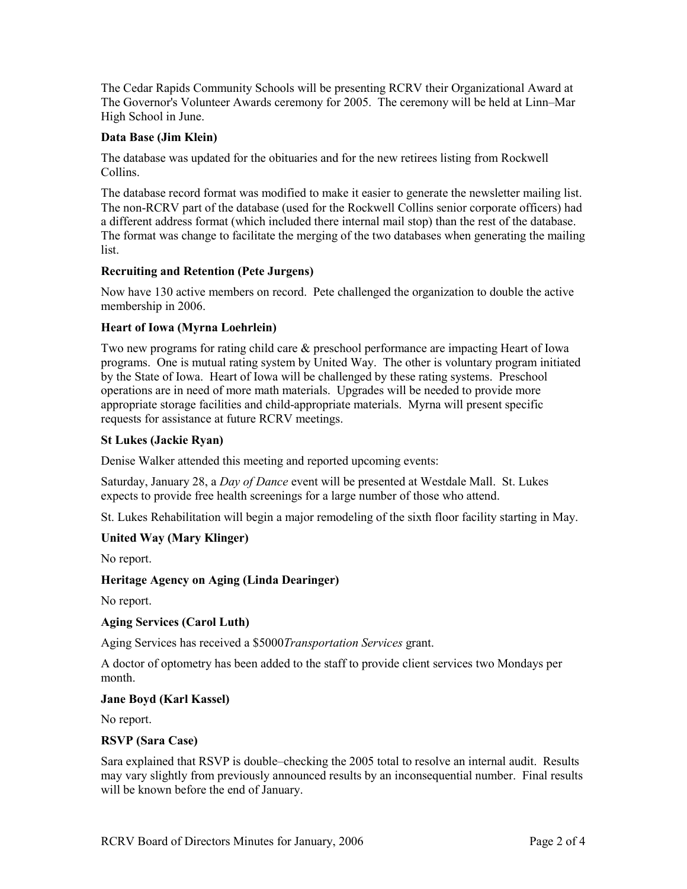The Cedar Rapids Community Schools will be presenting RCRV their Organizational Award at The Governor's Volunteer Awards ceremony for 2005. The ceremony will be held at Linn–Mar High School in June.

# **Data Base (Jim Klein)**

The database was updated for the obituaries and for the new retirees listing from Rockwell Collins.

The database record format was modified to make it easier to generate the newsletter mailing list. The non-RCRV part of the database (used for the Rockwell Collins senior corporate officers) had a different address format (which included there internal mail stop) than the rest of the database. The format was change to facilitate the merging of the two databases when generating the mailing list.

# **Recruiting and Retention (Pete Jurgens)**

Now have 130 active members on record. Pete challenged the organization to double the active membership in 2006.

# **Heart of Iowa (Myrna Loehrlein)**

Two new programs for rating child care & preschool performance are impacting Heart of Iowa programs. One is mutual rating system by United Way. The other is voluntary program initiated by the State of Iowa. Heart of Iowa will be challenged by these rating systems. Preschool operations are in need of more math materials. Upgrades will be needed to provide more appropriate storage facilities and child-appropriate materials. Myrna will present specific requests for assistance at future RCRV meetings.

# **St Lukes (Jackie Ryan)**

Denise Walker attended this meeting and reported upcoming events:

Saturday, January 28, a *Day of Dance* event will be presented at Westdale Mall. St. Lukes expects to provide free health screenings for a large number of those who attend.

St. Lukes Rehabilitation will begin a major remodeling of the sixth floor facility starting in May.

## **United Way (Mary Klinger)**

No report.

# **Heritage Agency on Aging (Linda Dearinger)**

No report.

## **Aging Services (Carol Luth)**

Aging Services has received a \$5000*Transportation Services* grant.

A doctor of optometry has been added to the staff to provide client services two Mondays per month.

## **Jane Boyd (Karl Kassel)**

No report.

## **RSVP (Sara Case)**

Sara explained that RSVP is double–checking the 2005 total to resolve an internal audit. Results may vary slightly from previously announced results by an inconsequential number. Final results will be known before the end of January.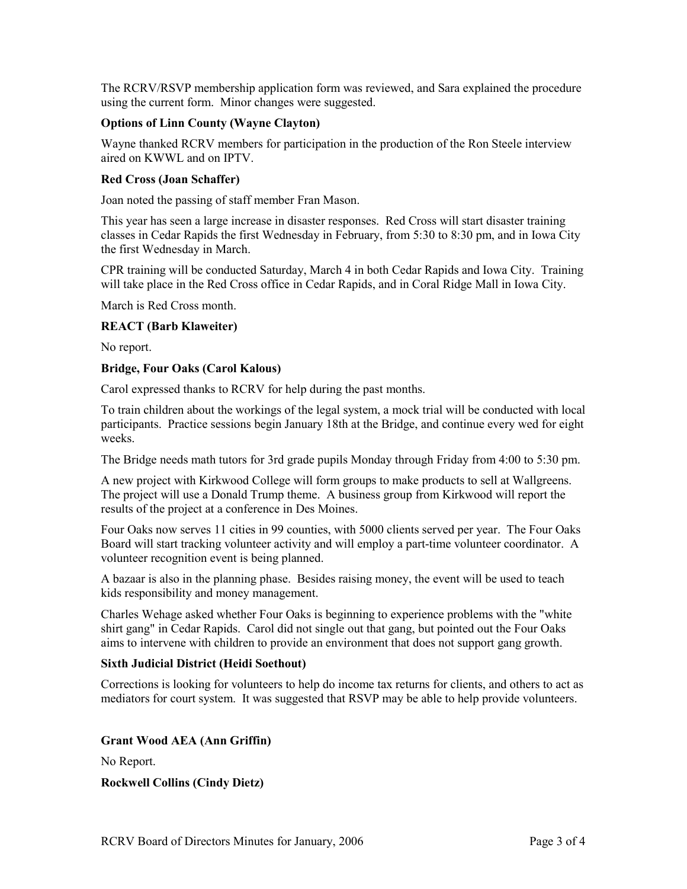The RCRV/RSVP membership application form was reviewed, and Sara explained the procedure using the current form. Minor changes were suggested.

# **Options of Linn County (Wayne Clayton)**

Wayne thanked RCRV members for participation in the production of the Ron Steele interview aired on KWWL and on IPTV.

## **Red Cross (Joan Schaffer)**

Joan noted the passing of staff member Fran Mason.

This year has seen a large increase in disaster responses. Red Cross will start disaster training classes in Cedar Rapids the first Wednesday in February, from 5:30 to 8:30 pm, and in Iowa City the first Wednesday in March.

CPR training will be conducted Saturday, March 4 in both Cedar Rapids and Iowa City. Training will take place in the Red Cross office in Cedar Rapids, and in Coral Ridge Mall in Iowa City.

March is Red Cross month.

## **REACT (Barb Klaweiter)**

No report.

#### **Bridge, Four Oaks (Carol Kalous)**

Carol expressed thanks to RCRV for help during the past months.

To train children about the workings of the legal system, a mock trial will be conducted with local participants. Practice sessions begin January 18th at the Bridge, and continue every wed for eight weeks.

The Bridge needs math tutors for 3rd grade pupils Monday through Friday from 4:00 to 5:30 pm.

A new project with Kirkwood College will form groups to make products to sell at Wallgreens. The project will use a Donald Trump theme. A business group from Kirkwood will report the results of the project at a conference in Des Moines.

Four Oaks now serves 11 cities in 99 counties, with 5000 clients served per year. The Four Oaks Board will start tracking volunteer activity and will employ a part-time volunteer coordinator. A volunteer recognition event is being planned.

A bazaar is also in the planning phase. Besides raising money, the event will be used to teach kids responsibility and money management.

Charles Wehage asked whether Four Oaks is beginning to experience problems with the "white shirt gang" in Cedar Rapids. Carol did not single out that gang, but pointed out the Four Oaks aims to intervene with children to provide an environment that does not support gang growth.

## **Sixth Judicial District (Heidi Soethout)**

Corrections is looking for volunteers to help do income tax returns for clients, and others to act as mediators for court system. It was suggested that RSVP may be able to help provide volunteers.

**Grant Wood AEA (Ann Griffin)** 

No Report.

## **Rockwell Collins (Cindy Dietz)**